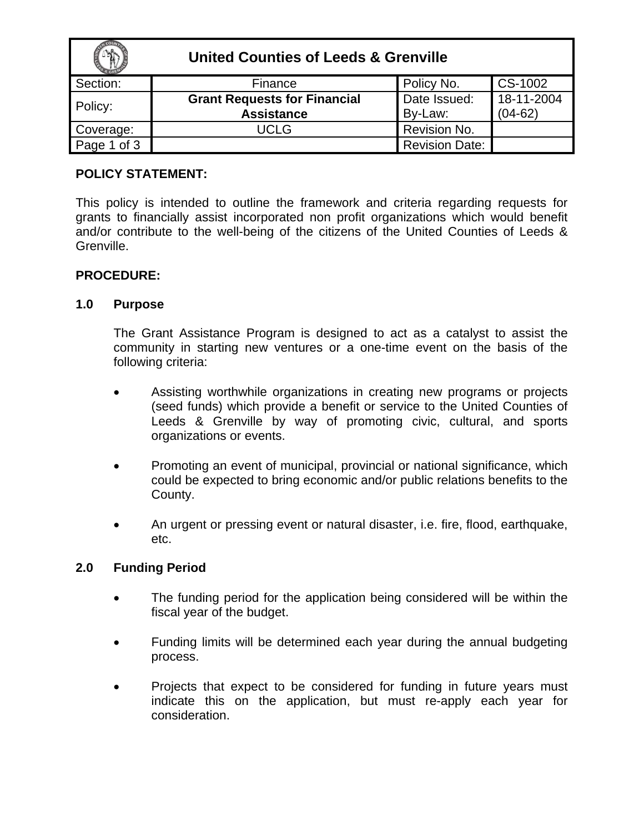|             | <b>United Counties of Leeds &amp; Grenville</b> |                       |            |
|-------------|-------------------------------------------------|-----------------------|------------|
| Section:    | Finance                                         | Policy No.            | CS-1002    |
| Policy:     | <b>Grant Requests for Financial</b>             | Date Issued:          | 18-11-2004 |
|             | <b>Assistance</b>                               | By-Law:               | $(04-62)$  |
| Coverage:   | UCLG                                            | Revision No.          |            |
| Page 1 of 3 |                                                 | <b>Revision Date:</b> |            |

### **POLICY STATEMENT:**

This policy is intended to outline the framework and criteria regarding requests for grants to financially assist incorporated non profit organizations which would benefit and/or contribute to the well-being of the citizens of the United Counties of Leeds & Grenville.

### **PROCEDURE:**

### **1.0 Purpose**

 The Grant Assistance Program is designed to act as a catalyst to assist the community in starting new ventures or a one-time event on the basis of the following criteria:

- Assisting worthwhile organizations in creating new programs or projects (seed funds) which provide a benefit or service to the United Counties of Leeds & Grenville by way of promoting civic, cultural, and sports organizations or events.
- Promoting an event of municipal, provincial or national significance, which could be expected to bring economic and/or public relations benefits to the County.
- An urgent or pressing event or natural disaster, i.e. fire, flood, earthquake, etc.

### **2.0 Funding Period**

- The funding period for the application being considered will be within the fiscal year of the budget.
- Funding limits will be determined each year during the annual budgeting process.
- Projects that expect to be considered for funding in future years must indicate this on the application, but must re-apply each year for consideration.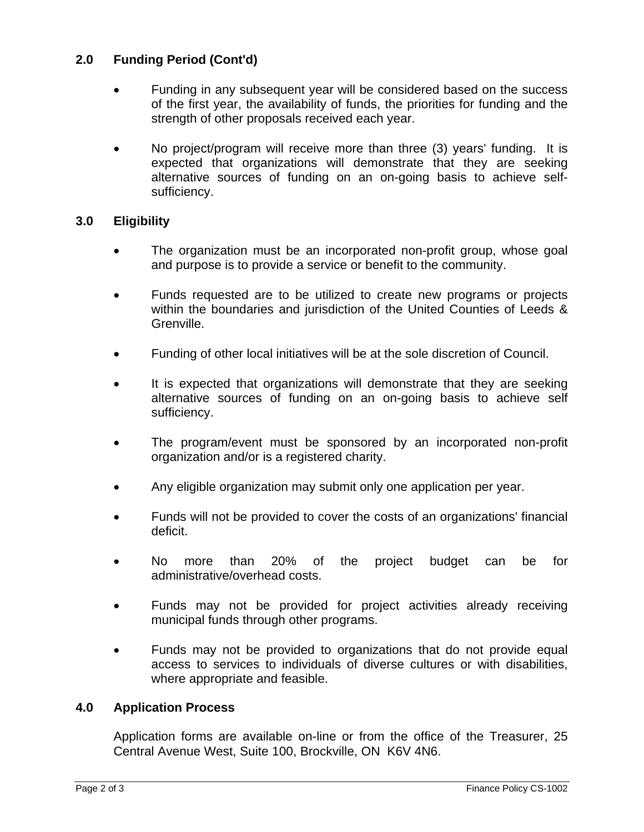# **2.0 Funding Period (Cont'd)**

- Funding in any subsequent year will be considered based on the success of the first year, the availability of funds, the priorities for funding and the strength of other proposals received each year.
- No project/program will receive more than three (3) years' funding. It is expected that organizations will demonstrate that they are seeking alternative sources of funding on an on-going basis to achieve selfsufficiency.

# **3.0 Eligibility**

- The organization must be an incorporated non-profit group, whose goal and purpose is to provide a service or benefit to the community.
- Funds requested are to be utilized to create new programs or projects within the boundaries and jurisdiction of the United Counties of Leeds & Grenville.
- Funding of other local initiatives will be at the sole discretion of Council.
- It is expected that organizations will demonstrate that they are seeking alternative sources of funding on an on-going basis to achieve self sufficiency.
- The program/event must be sponsored by an incorporated non-profit organization and/or is a registered charity.
- Any eligible organization may submit only one application per year.
- Funds will not be provided to cover the costs of an organizations' financial deficit.
- No more than 20% of the project budget can be for administrative/overhead costs.
- Funds may not be provided for project activities already receiving municipal funds through other programs.
- Funds may not be provided to organizations that do not provide equal access to services to individuals of diverse cultures or with disabilities, where appropriate and feasible.

### **4.0 Application Process**

 Application forms are available on-line or from the office of the Treasurer, 25 Central Avenue West, Suite 100, Brockville, ON K6V 4N6.